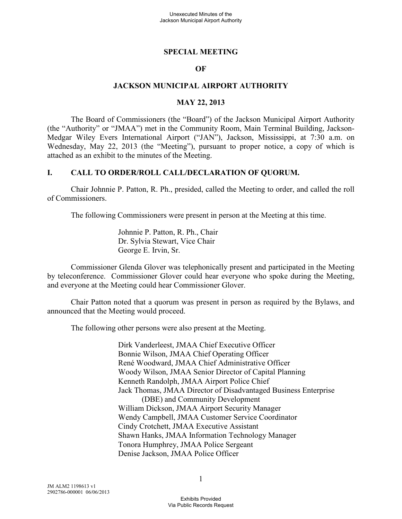#### **SPECIAL MEETING**

#### **OF**

#### **JACKSON MUNICIPAL AIRPORT AUTHORITY**

#### **MAY 22, 2013**

The Board of Commissioners (the "Board") of the Jackson Municipal Airport Authority (the "Authority" or "JMAA") met in the Community Room, Main Terminal Building, Jackson-Medgar Wiley Evers International Airport ("JAN"), Jackson, Mississippi, at 7:30 a.m. on Wednesday, May 22, 2013 (the "Meeting"), pursuant to proper notice, a copy of which is attached as an exhibit to the minutes of the Meeting.

#### **I. CALL TO ORDER/ROLL CALL/DECLARATION OF QUORUM.**

Chair Johnnie P. Patton, R. Ph., presided, called the Meeting to order, and called the roll of Commissioners.

The following Commissioners were present in person at the Meeting at this time.

Johnnie P. Patton, R. Ph., Chair Dr. Sylvia Stewart, Vice Chair George E. Irvin, Sr.

Commissioner Glenda Glover was telephonically present and participated in the Meeting by teleconference. Commissioner Glover could hear everyone who spoke during the Meeting, and everyone at the Meeting could hear Commissioner Glover.

Chair Patton noted that a quorum was present in person as required by the Bylaws, and announced that the Meeting would proceed.

The following other persons were also present at the Meeting.

Dirk Vanderleest, JMAA Chief Executive Officer Bonnie Wilson, JMAA Chief Operating Officer René Woodward, JMAA Chief Administrative Officer Woody Wilson, JMAA Senior Director of Capital Planning Kenneth Randolph, JMAA Airport Police Chief Jack Thomas, JMAA Director of Disadvantaged Business Enterprise (DBE) and Community Development William Dickson, JMAA Airport Security Manager Wendy Campbell, JMAA Customer Service Coordinator Cindy Crotchett, JMAA Executive Assistant Shawn Hanks, JMAA Information Technology Manager Tonora Humphrey, JMAA Police Sergeant Denise Jackson, JMAA Police Officer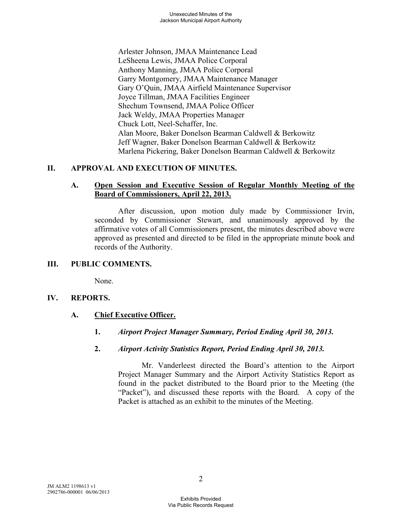Arlester Johnson, JMAA Maintenance Lead LeSheena Lewis, JMAA Police Corporal Anthony Manning, JMAA Police Corporal Garry Montgomery, JMAA Maintenance Manager Gary O'Quin, JMAA Airfield Maintenance Supervisor Joyce Tillman, JMAA Facilities Engineer Shechum Townsend, JMAA Police Officer Jack Weldy, JMAA Properties Manager Chuck Lott, Neel-Schaffer, Inc. Alan Moore, Baker Donelson Bearman Caldwell & Berkowitz Jeff Wagner, Baker Donelson Bearman Caldwell & Berkowitz Marlena Pickering, Baker Donelson Bearman Caldwell & Berkowitz

## **II. APPROVAL AND EXECUTION OF MINUTES.**

### **A. Open Session and Executive Session of Regular Monthly Meeting of the Board of Commissioners, April 22, 2013.**

After discussion, upon motion duly made by Commissioner Irvin, seconded by Commissioner Stewart, and unanimously approved by the affirmative votes of all Commissioners present, the minutes described above were approved as presented and directed to be filed in the appropriate minute book and records of the Authority.

## **III. PUBLIC COMMENTS.**

None.

#### **IV. REPORTS.**

## **A. Chief Executive Officer.**

- **1.** *Airport Project Manager Summary, Period Ending April 30, 2013.*
- **2.** *Airport Activity Statistics Report, Period Ending April 30, 2013.*

Mr. Vanderleest directed the Board's attention to the Airport Project Manager Summary and the Airport Activity Statistics Report as found in the packet distributed to the Board prior to the Meeting (the "Packet"), and discussed these reports with the Board. A copy of the Packet is attached as an exhibit to the minutes of the Meeting.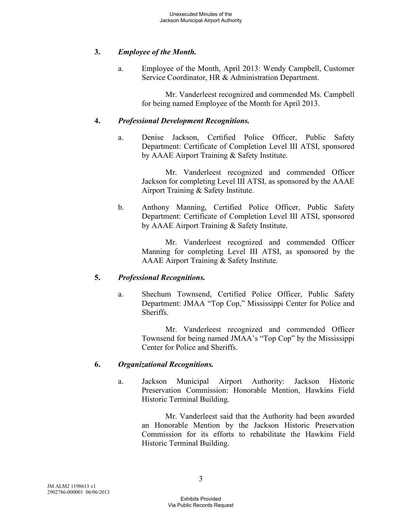## **3.** *Employee of the Month.*

a. Employee of the Month, April 2013: Wendy Campbell, Customer Service Coordinator, HR & Administration Department.

> Mr. Vanderleest recognized and commended Ms. Campbell for being named Employee of the Month for April 2013.

### **4.** *Professional Development Recognitions.*

a. Denise Jackson, Certified Police Officer, Public Safety Department: Certificate of Completion Level III ATSI, sponsored by AAAE Airport Training & Safety Institute.

Mr. Vanderleest recognized and commended Officer Jackson for completing Level III ATSI, as sponsored by the AAAE Airport Training & Safety Institute.

b. Anthony Manning, Certified Police Officer, Public Safety Department: Certificate of Completion Level III ATSI, sponsored by AAAE Airport Training & Safety Institute.

> Mr. Vanderleest recognized and commended Officer Manning for completing Level III ATSI, as sponsored by the AAAE Airport Training & Safety Institute.

## **5.** *Professional Recognitions.*

a. Shechum Townsend, Certified Police Officer, Public Safety Department: JMAA "Top Cop," Mississippi Center for Police and Sheriffs.

Mr. Vanderleest recognized and commended Officer Townsend for being named JMAA's "Top Cop" by the Mississippi Center for Police and Sheriffs.

## **6.** *Organizational Recognitions.*

a. Jackson Municipal Airport Authority: Jackson Historic Preservation Commission: Honorable Mention, Hawkins Field Historic Terminal Building.

Mr. Vanderleest said that the Authority had been awarded an Honorable Mention by the Jackson Historic Preservation Commission for its efforts to rehabilitate the Hawkins Field Historic Terminal Building.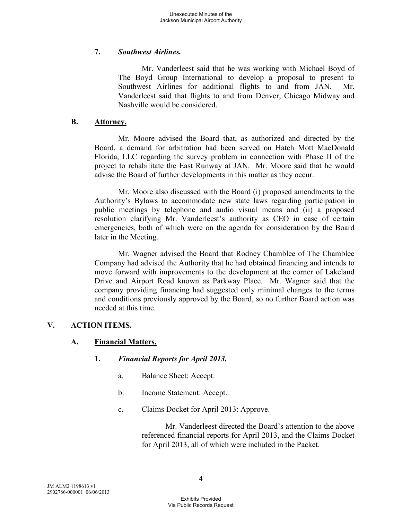### **7.** *Southwest Airlines.*

Mr. Vanderleest said that he was working with Michael Boyd of The Boyd Group International to develop a proposal to present to Southwest Airlines for additional flights to and from JAN. Mr. Vanderleest said that flights to and from Denver, Chicago Midway and Nashville would be considered.

#### **B. Attorney.**

Mr. Moore advised the Board that, as authorized and directed by the Board, a demand for arbitration had been served on Hatch Mott MacDonald Florida, LLC regarding the survey problem in connection with Phase II of the project to rehabilitate the East Runway at JAN. Mr. Moore said that he would advise the Board of further developments in this matter as they occur.

Mr. Moore also discussed with the Board (i) proposed amendments to the Authority's Bylaws to accommodate new state laws regarding participation in public meetings by telephone and audio visual means and (ii) a proposed resolution clarifying Mr. Vanderleest's authority as CEO in case of certain emergencies, both of which were on the agenda for consideration by the Board later in the Meeting.

Mr. Wagner advised the Board that Rodney Chamblee of The Chamblee Company had advised the Authority that he had obtained financing and intends to move forward with improvements to the development at the corner of Lakeland Drive and Airport Road known as Parkway Place. Mr. Wagner said that the company providing financing had suggested only minimal changes to the terms and conditions previously approved by the Board, so no further Board action was needed at this time.

#### **V. ACTION ITEMS.**

## **A. Financial Matters.**

#### **1.** *Financial Reports for April 2013.*

- a. Balance Sheet: Accept.
- b. Income Statement: Accept.
- c. Claims Docket for April 2013: Approve.

Mr. Vanderleest directed the Board's attention to the above referenced financial reports for April 2013, and the Claims Docket for April 2013, all of which were included in the Packet.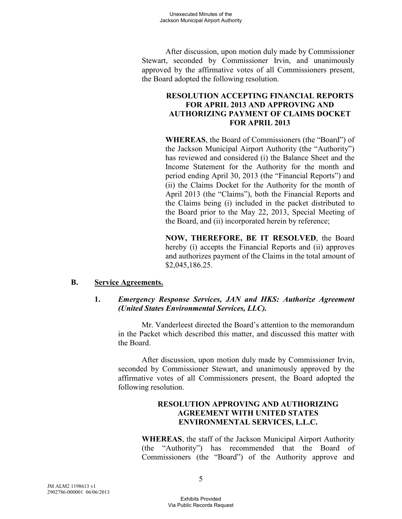After discussion, upon motion duly made by Commissioner Stewart, seconded by Commissioner Irvin, and unanimously approved by the affirmative votes of all Commissioners present, the Board adopted the following resolution.

### **RESOLUTION ACCEPTING FINANCIAL REPORTS FOR APRIL 2013 AND APPROVING AND AUTHORIZING PAYMENT OF CLAIMS DOCKET FOR APRIL 2013**

**WHEREAS**, the Board of Commissioners (the "Board") of the Jackson Municipal Airport Authority (the "Authority") has reviewed and considered (i) the Balance Sheet and the Income Statement for the Authority for the month and period ending April 30, 2013 (the "Financial Reports") and (ii) the Claims Docket for the Authority for the month of April 2013 (the "Claims"), both the Financial Reports and the Claims being (i) included in the packet distributed to the Board prior to the May 22, 2013, Special Meeting of the Board, and (ii) incorporated herein by reference;

**NOW, THEREFORE, BE IT RESOLVED**, the Board hereby (i) accepts the Financial Reports and (ii) approves and authorizes payment of the Claims in the total amount of \$2,045,186.25.

#### **B. Service Agreements.**

#### **1.** *Emergency Response Services, JAN and HKS: Authorize Agreement (United States Environmental Services, LLC).*

Mr. Vanderleest directed the Board's attention to the memorandum in the Packet which described this matter, and discussed this matter with the Board.

After discussion, upon motion duly made by Commissioner Irvin, seconded by Commissioner Stewart, and unanimously approved by the affirmative votes of all Commissioners present, the Board adopted the following resolution.

### **RESOLUTION APPROVING AND AUTHORIZING AGREEMENT WITH UNITED STATES ENVIRONMENTAL SERVICES, L.L.C.**

**WHEREAS**, the staff of the Jackson Municipal Airport Authority (the "Authority") has recommended that the Board of Commissioners (the "Board") of the Authority approve and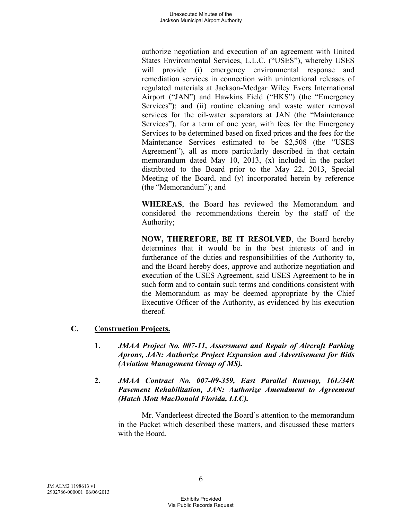authorize negotiation and execution of an agreement with United States Environmental Services, L.L.C. ("USES"), whereby USES will provide (i) emergency environmental response and remediation services in connection with unintentional releases of regulated materials at Jackson-Medgar Wiley Evers International Airport ("JAN") and Hawkins Field ("HKS") (the "Emergency Services"); and (ii) routine cleaning and waste water removal services for the oil-water separators at JAN (the "Maintenance Services"), for a term of one year, with fees for the Emergency Services to be determined based on fixed prices and the fees for the Maintenance Services estimated to be \$2,508 (the "USES Agreement"), all as more particularly described in that certain memorandum dated May 10, 2013, (x) included in the packet distributed to the Board prior to the May 22, 2013, Special Meeting of the Board, and (y) incorporated herein by reference (the "Memorandum"); and

**WHEREAS**, the Board has reviewed the Memorandum and considered the recommendations therein by the staff of the Authority;

**NOW, THEREFORE, BE IT RESOLVED**, the Board hereby determines that it would be in the best interests of and in furtherance of the duties and responsibilities of the Authority to, and the Board hereby does, approve and authorize negotiation and execution of the USES Agreement, said USES Agreement to be in such form and to contain such terms and conditions consistent with the Memorandum as may be deemed appropriate by the Chief Executive Officer of the Authority, as evidenced by his execution thereof.

## **C. Construction Projects.**

- **1.** *JMAA Project No. 007-11, Assessment and Repair of Aircraft Parking Aprons, JAN: Authorize Project Expansion and Advertisement for Bids (Aviation Management Group of MS).*
- **2.** *JMAA Contract No. 007-09-359, East Parallel Runway, 16L/34R Pavement Rehabilitation, JAN: Authorize Amendment to Agreement (Hatch Mott MacDonald Florida, LLC).*

Mr. Vanderleest directed the Board's attention to the memorandum in the Packet which described these matters, and discussed these matters with the Board.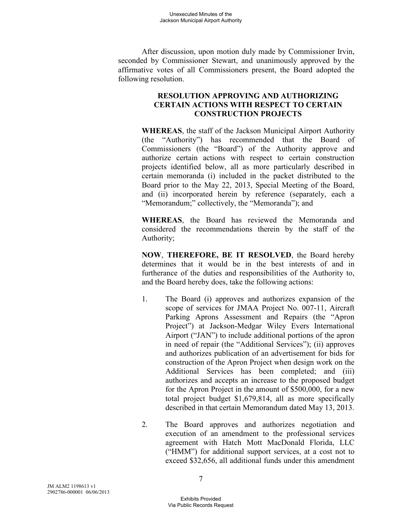After discussion, upon motion duly made by Commissioner Irvin, seconded by Commissioner Stewart, and unanimously approved by the affirmative votes of all Commissioners present, the Board adopted the following resolution.

## **RESOLUTION APPROVING AND AUTHORIZING CERTAIN ACTIONS WITH RESPECT TO CERTAIN CONSTRUCTION PROJECTS**

**WHEREAS**, the staff of the Jackson Municipal Airport Authority (the "Authority") has recommended that the Board of Commissioners (the "Board") of the Authority approve and authorize certain actions with respect to certain construction projects identified below, all as more particularly described in certain memoranda (i) included in the packet distributed to the Board prior to the May 22, 2013, Special Meeting of the Board, and (ii) incorporated herein by reference (separately, each a "Memorandum;" collectively, the "Memoranda"); and

**WHEREAS**, the Board has reviewed the Memoranda and considered the recommendations therein by the staff of the Authority;

**NOW**, **THEREFORE, BE IT RESOLVED**, the Board hereby determines that it would be in the best interests of and in furtherance of the duties and responsibilities of the Authority to, and the Board hereby does, take the following actions:

- 1. The Board (i) approves and authorizes expansion of the scope of services for JMAA Project No. 007-11, Aircraft Parking Aprons Assessment and Repairs (the "Apron Project") at Jackson-Medgar Wiley Evers International Airport ("JAN") to include additional portions of the apron in need of repair (the "Additional Services"); (ii) approves and authorizes publication of an advertisement for bids for construction of the Apron Project when design work on the Additional Services has been completed; and (iii) authorizes and accepts an increase to the proposed budget for the Apron Project in the amount of \$500,000, for a new total project budget \$1,679,814, all as more specifically described in that certain Memorandum dated May 13, 2013.
- 2. The Board approves and authorizes negotiation and execution of an amendment to the professional services agreement with Hatch Mott MacDonald Florida, LLC ("HMM") for additional support services, at a cost not to exceed \$32,656, all additional funds under this amendment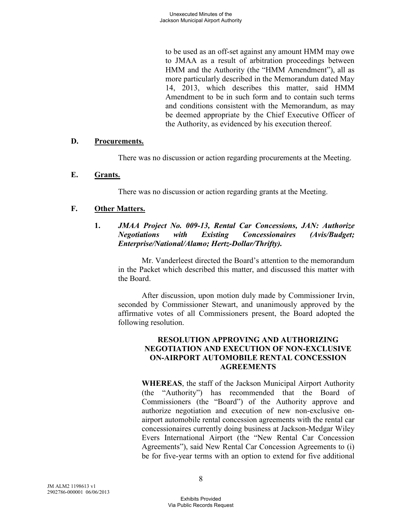to be used as an off-set against any amount HMM may owe to JMAA as a result of arbitration proceedings between HMM and the Authority (the "HMM Amendment"), all as more particularly described in the Memorandum dated May 14, 2013, which describes this matter, said HMM Amendment to be in such form and to contain such terms and conditions consistent with the Memorandum, as may be deemed appropriate by the Chief Executive Officer of the Authority, as evidenced by his execution thereof.

### **D. Procurements.**

There was no discussion or action regarding procurements at the Meeting.

### **E. Grants.**

There was no discussion or action regarding grants at the Meeting.

## **F. Other Matters.**

**1.** *JMAA Project No. 009-13, Rental Car Concessions, JAN: Authorize Negotiations with Existing Concessionaires (Avis/Budget; Enterprise/National/Alamo; Hertz-Dollar/Thrifty).* 

Mr. Vanderleest directed the Board's attention to the memorandum in the Packet which described this matter, and discussed this matter with the Board.

After discussion, upon motion duly made by Commissioner Irvin, seconded by Commissioner Stewart, and unanimously approved by the affirmative votes of all Commissioners present, the Board adopted the following resolution.

### **RESOLUTION APPROVING AND AUTHORIZING NEGOTIATION AND EXECUTION OF NON-EXCLUSIVE ON-AIRPORT AUTOMOBILE RENTAL CONCESSION AGREEMENTS**

**WHEREAS**, the staff of the Jackson Municipal Airport Authority (the "Authority") has recommended that the Board of Commissioners (the "Board") of the Authority approve and authorize negotiation and execution of new non-exclusive onairport automobile rental concession agreements with the rental car concessionaires currently doing business at Jackson-Medgar Wiley Evers International Airport (the "New Rental Car Concession Agreements"), said New Rental Car Concession Agreements to (i) be for five-year terms with an option to extend for five additional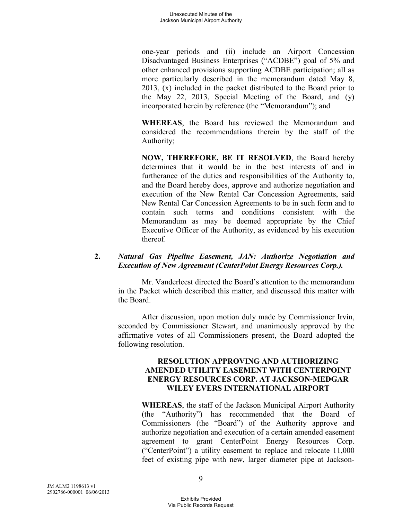one-year periods and (ii) include an Airport Concession Disadvantaged Business Enterprises ("ACDBE") goal of 5% and other enhanced provisions supporting ACDBE participation; all as more particularly described in the memorandum dated May 8, 2013, (x) included in the packet distributed to the Board prior to the May 22, 2013, Special Meeting of the Board, and (y) incorporated herein by reference (the "Memorandum"); and

**WHEREAS**, the Board has reviewed the Memorandum and considered the recommendations therein by the staff of the Authority;

**NOW, THEREFORE, BE IT RESOLVED**, the Board hereby determines that it would be in the best interests of and in furtherance of the duties and responsibilities of the Authority to, and the Board hereby does, approve and authorize negotiation and execution of the New Rental Car Concession Agreements, said New Rental Car Concession Agreements to be in such form and to contain such terms and conditions consistent with the Memorandum as may be deemed appropriate by the Chief Executive Officer of the Authority, as evidenced by his execution thereof.

### **2.** *Natural Gas Pipeline Easement, JAN: Authorize Negotiation and Execution of New Agreement (CenterPoint Energy Resources Corp.).*

Mr. Vanderleest directed the Board's attention to the memorandum in the Packet which described this matter, and discussed this matter with the Board.

After discussion, upon motion duly made by Commissioner Irvin, seconded by Commissioner Stewart, and unanimously approved by the affirmative votes of all Commissioners present, the Board adopted the following resolution.

### **RESOLUTION APPROVING AND AUTHORIZING AMENDED UTILITY EASEMENT WITH CENTERPOINT ENERGY RESOURCES CORP. AT JACKSON-MEDGAR WILEY EVERS INTERNATIONAL AIRPORT**

**WHEREAS**, the staff of the Jackson Municipal Airport Authority (the "Authority") has recommended that the Board of Commissioners (the "Board") of the Authority approve and authorize negotiation and execution of a certain amended easement agreement to grant CenterPoint Energy Resources Corp. ("CenterPoint") a utility easement to replace and relocate 11,000 feet of existing pipe with new, larger diameter pipe at Jackson-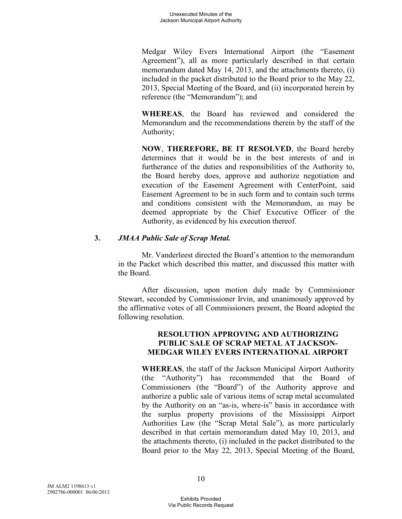Medgar Wiley Evers International Airport (the "Easement Agreement"), all as more particularly described in that certain memorandum dated May 14, 2013, and the attachments thereto, (i) included in the packet distributed to the Board prior to the May 22, 2013, Special Meeting of the Board, and (ii) incorporated herein by reference (the "Memorandum"); and

**WHEREAS**, the Board has reviewed and considered the Memorandum and the recommendations therein by the staff of the Authority;

**NOW**, **THEREFORE, BE IT RESOLVED**, the Board hereby determines that it would be in the best interests of and in furtherance of the duties and responsibilities of the Authority to, the Board hereby does, approve and authorize negotiation and execution of the Easement Agreement with CenterPoint, said Easement Agreement to be in such form and to contain such terms and conditions consistent with the Memorandum, as may be deemed appropriate by the Chief Executive Officer of the Authority, as evidenced by his execution thereof.

### **3.** *JMAA Public Sale of Scrap Metal.*

Mr. Vanderleest directed the Board's attention to the memorandum in the Packet which described this matter, and discussed this matter with the Board.

After discussion, upon motion duly made by Commissioner Stewart, seconded by Commissioner Irvin, and unanimously approved by the affirmative votes of all Commissioners present, the Board adopted the following resolution.

### **RESOLUTION APPROVING AND AUTHORIZING PUBLIC SALE OF SCRAP METAL AT JACKSON-MEDGAR WILEY EVERS INTERNATIONAL AIRPORT**

**WHEREAS**, the staff of the Jackson Municipal Airport Authority (the "Authority") has recommended that the Board of Commissioners (the "Board") of the Authority approve and authorize a public sale of various items of scrap metal accumulated by the Authority on an "as-is, where-is" basis in accordance with the surplus property provisions of the Mississippi Airport Authorities Law (the "Scrap Metal Sale"), as more particularly described in that certain memorandum dated May 10, 2013, and the attachments thereto, (i) included in the packet distributed to the Board prior to the May 22, 2013, Special Meeting of the Board,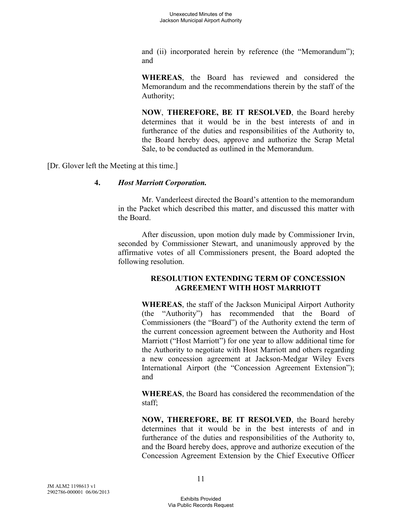and (ii) incorporated herein by reference (the "Memorandum"); and

**WHEREAS**, the Board has reviewed and considered the Memorandum and the recommendations therein by the staff of the Authority;

**NOW**, **THEREFORE, BE IT RESOLVED**, the Board hereby determines that it would be in the best interests of and in furtherance of the duties and responsibilities of the Authority to, the Board hereby does, approve and authorize the Scrap Metal Sale, to be conducted as outlined in the Memorandum.

[Dr. Glover left the Meeting at this time.]

### **4.** *Host Marriott Corporation.*

Mr. Vanderleest directed the Board's attention to the memorandum in the Packet which described this matter, and discussed this matter with the Board.

After discussion, upon motion duly made by Commissioner Irvin, seconded by Commissioner Stewart, and unanimously approved by the affirmative votes of all Commissioners present, the Board adopted the following resolution.

## **RESOLUTION EXTENDING TERM OF CONCESSION AGREEMENT WITH HOST MARRIOTT**

**WHEREAS**, the staff of the Jackson Municipal Airport Authority (the "Authority") has recommended that the Board of Commissioners (the "Board") of the Authority extend the term of the current concession agreement between the Authority and Host Marriott ("Host Marriott") for one year to allow additional time for the Authority to negotiate with Host Marriott and others regarding a new concession agreement at Jackson-Medgar Wiley Evers International Airport (the "Concession Agreement Extension"); and

**WHEREAS**, the Board has considered the recommendation of the staff;

**NOW, THEREFORE, BE IT RESOLVED**, the Board hereby determines that it would be in the best interests of and in furtherance of the duties and responsibilities of the Authority to, and the Board hereby does, approve and authorize execution of the Concession Agreement Extension by the Chief Executive Officer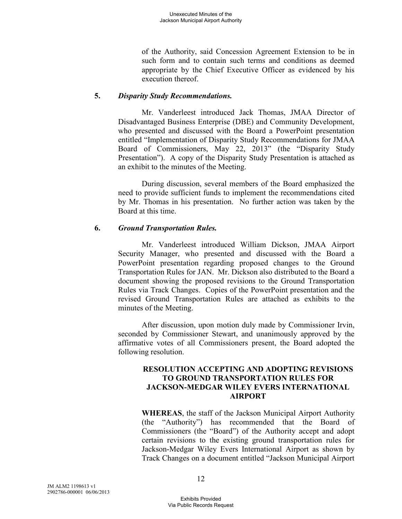of the Authority, said Concession Agreement Extension to be in such form and to contain such terms and conditions as deemed appropriate by the Chief Executive Officer as evidenced by his execution thereof.

### **5.** *Disparity Study Recommendations.*

Mr. Vanderleest introduced Jack Thomas, JMAA Director of Disadvantaged Business Enterprise (DBE) and Community Development, who presented and discussed with the Board a PowerPoint presentation entitled "Implementation of Disparity Study Recommendations for JMAA Board of Commissioners, May 22, 2013" (the "Disparity Study Presentation"). A copy of the Disparity Study Presentation is attached as an exhibit to the minutes of the Meeting.

During discussion, several members of the Board emphasized the need to provide sufficient funds to implement the recommendations cited by Mr. Thomas in his presentation. No further action was taken by the Board at this time.

### **6.** *Ground Transportation Rules.*

Mr. Vanderleest introduced William Dickson, JMAA Airport Security Manager, who presented and discussed with the Board a PowerPoint presentation regarding proposed changes to the Ground Transportation Rules for JAN. Mr. Dickson also distributed to the Board a document showing the proposed revisions to the Ground Transportation Rules via Track Changes. Copies of the PowerPoint presentation and the revised Ground Transportation Rules are attached as exhibits to the minutes of the Meeting.

After discussion, upon motion duly made by Commissioner Irvin, seconded by Commissioner Stewart, and unanimously approved by the affirmative votes of all Commissioners present, the Board adopted the following resolution.

### **RESOLUTION ACCEPTING AND ADOPTING REVISIONS TO GROUND TRANSPORTATION RULES FOR JACKSON-MEDGAR WILEY EVERS INTERNATIONAL AIRPORT**

**WHEREAS**, the staff of the Jackson Municipal Airport Authority (the "Authority") has recommended that the Board of Commissioners (the "Board") of the Authority accept and adopt certain revisions to the existing ground transportation rules for Jackson-Medgar Wiley Evers International Airport as shown by Track Changes on a document entitled "Jackson Municipal Airport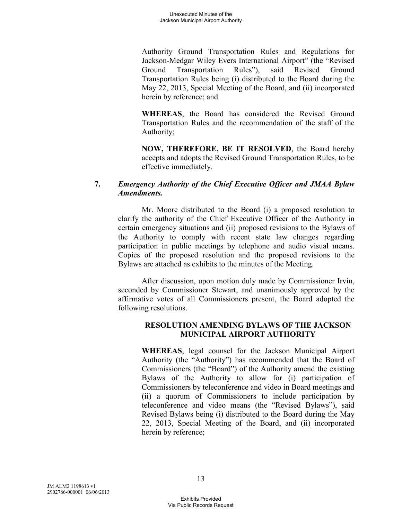Authority Ground Transportation Rules and Regulations for Jackson-Medgar Wiley Evers International Airport" (the "Revised Ground Transportation Rules"), said Revised Ground Transportation Rules being (i) distributed to the Board during the May 22, 2013, Special Meeting of the Board, and (ii) incorporated herein by reference; and

**WHEREAS**, the Board has considered the Revised Ground Transportation Rules and the recommendation of the staff of the Authority;

**NOW, THEREFORE, BE IT RESOLVED**, the Board hereby accepts and adopts the Revised Ground Transportation Rules, to be effective immediately.

## **7.** *Emergency Authority of the Chief Executive Officer and JMAA Bylaw Amendments.*

Mr. Moore distributed to the Board (i) a proposed resolution to clarify the authority of the Chief Executive Officer of the Authority in certain emergency situations and (ii) proposed revisions to the Bylaws of the Authority to comply with recent state law changes regarding participation in public meetings by telephone and audio visual means. Copies of the proposed resolution and the proposed revisions to the Bylaws are attached as exhibits to the minutes of the Meeting.

After discussion, upon motion duly made by Commissioner Irvin, seconded by Commissioner Stewart, and unanimously approved by the affirmative votes of all Commissioners present, the Board adopted the following resolutions.

## **RESOLUTION AMENDING BYLAWS OF THE JACKSON MUNICIPAL AIRPORT AUTHORITY**

**WHEREAS**, legal counsel for the Jackson Municipal Airport Authority (the "Authority") has recommended that the Board of Commissioners (the "Board") of the Authority amend the existing Bylaws of the Authority to allow for (i) participation of Commissioners by teleconference and video in Board meetings and (ii) a quorum of Commissioners to include participation by teleconference and video means (the "Revised Bylaws"), said Revised Bylaws being (i) distributed to the Board during the May 22, 2013, Special Meeting of the Board, and (ii) incorporated herein by reference;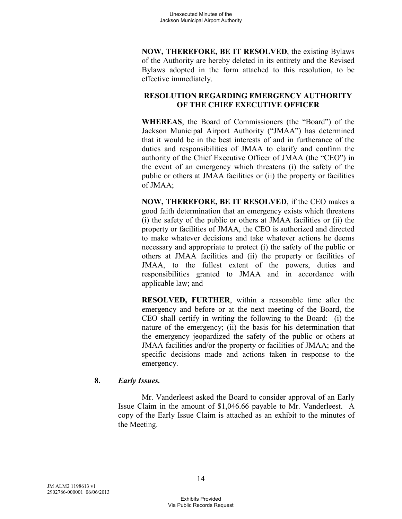**NOW, THEREFORE, BE IT RESOLVED**, the existing Bylaws of the Authority are hereby deleted in its entirety and the Revised Bylaws adopted in the form attached to this resolution, to be effective immediately.

## **RESOLUTION REGARDING EMERGENCY AUTHORITY OF THE CHIEF EXECUTIVE OFFICER**

**WHEREAS**, the Board of Commissioners (the "Board") of the Jackson Municipal Airport Authority ("JMAA") has determined that it would be in the best interests of and in furtherance of the duties and responsibilities of JMAA to clarify and confirm the authority of the Chief Executive Officer of JMAA (the "CEO") in the event of an emergency which threatens (i) the safety of the public or others at JMAA facilities or (ii) the property or facilities of JMAA;

**NOW, THEREFORE, BE IT RESOLVED**, if the CEO makes a good faith determination that an emergency exists which threatens (i) the safety of the public or others at JMAA facilities or (ii) the property or facilities of JMAA, the CEO is authorized and directed to make whatever decisions and take whatever actions he deems necessary and appropriate to protect (i) the safety of the public or others at JMAA facilities and (ii) the property or facilities of JMAA, to the fullest extent of the powers, duties and responsibilities granted to JMAA and in accordance with applicable law; and

**RESOLVED, FURTHER**, within a reasonable time after the emergency and before or at the next meeting of the Board, the CEO shall certify in writing the following to the Board: (i) the nature of the emergency; (ii) the basis for his determination that the emergency jeopardized the safety of the public or others at JMAA facilities and/or the property or facilities of JMAA; and the specific decisions made and actions taken in response to the emergency.

## **8.** *Early Issues.*

Mr. Vanderleest asked the Board to consider approval of an Early Issue Claim in the amount of \$1,046.66 payable to Mr. Vanderleest. A copy of the Early Issue Claim is attached as an exhibit to the minutes of the Meeting.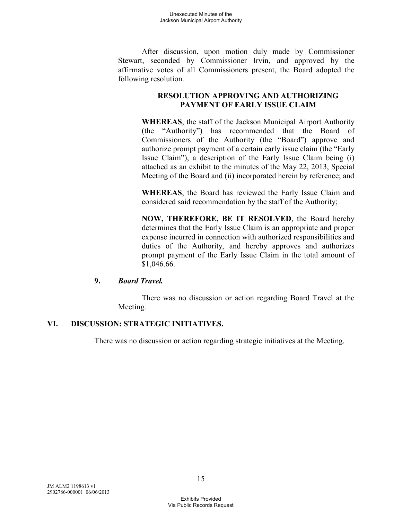After discussion, upon motion duly made by Commissioner Stewart, seconded by Commissioner Irvin, and approved by the affirmative votes of all Commissioners present, the Board adopted the following resolution.

## **RESOLUTION APPROVING AND AUTHORIZING PAYMENT OF EARLY ISSUE CLAIM**

**WHEREAS**, the staff of the Jackson Municipal Airport Authority (the "Authority") has recommended that the Board of Commissioners of the Authority (the "Board") approve and authorize prompt payment of a certain early issue claim (the "Early Issue Claim"), a description of the Early Issue Claim being (i) attached as an exhibit to the minutes of the May 22, 2013, Special Meeting of the Board and (ii) incorporated herein by reference; and

**WHEREAS**, the Board has reviewed the Early Issue Claim and considered said recommendation by the staff of the Authority;

**NOW, THEREFORE, BE IT RESOLVED**, the Board hereby determines that the Early Issue Claim is an appropriate and proper expense incurred in connection with authorized responsibilities and duties of the Authority, and hereby approves and authorizes prompt payment of the Early Issue Claim in the total amount of \$1,046.66.

## **9.** *Board Travel.*

There was no discussion or action regarding Board Travel at the Meeting.

# **VI. DISCUSSION: STRATEGIC INITIATIVES.**

There was no discussion or action regarding strategic initiatives at the Meeting.